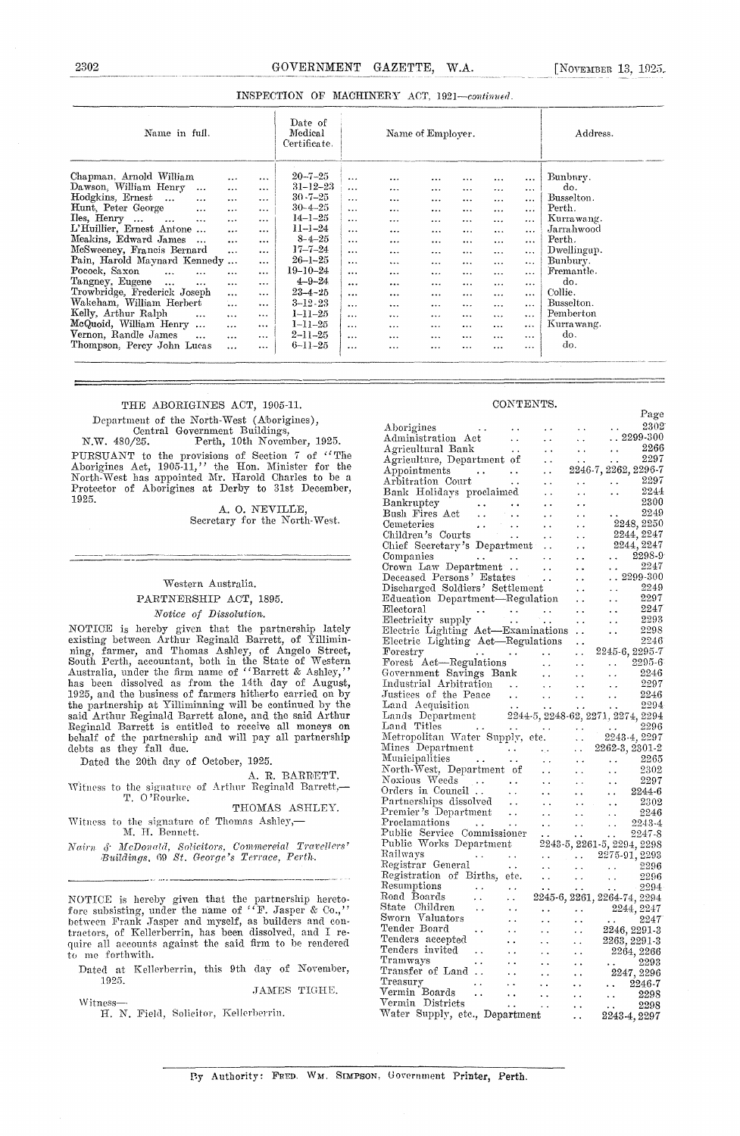| 2302<br>A THE RESERVED OF THE RESERVED OF THE RESERVED OF THE RESERVED OF THE RESERVED OF THE RESERVED OF THE RESERVED OF THE RESERVED OF THE RESERVED OF THE RESERVED OF THE RESERVED OF THE RESERVED OF THE RESERVED OF THE RESERVED | GOVERNMENT GAZETTE, W.A.                     | NOVEMBER 13, 1925.<br>the temporal problems in the commence of the explanation of the comment |
|----------------------------------------------------------------------------------------------------------------------------------------------------------------------------------------------------------------------------------------|----------------------------------------------|-----------------------------------------------------------------------------------------------|
|                                                                                                                                                                                                                                        | INSPECTION OF MACHINERY ACT, 1921-continued. |                                                                                               |
|                                                                                                                                                                                                                                        | <b>Contract Contract</b>                     |                                                                                               |

| Name in full.                                                                                                                                                                                                                                                                                                                                                                                                                                                                                                                                                                                    | Date of<br>Medical<br>Certificate.                                                                                                                                                                                                                                                                                       | Name of Employer.                                                                                                                                                                                                                                                                     |                                                                                                                                                                                     |                                                                                                                                                                  |                                                                                                                                                                   |                                                                                                                                                          |                                                                                                                                                                            | Address.                                                                                                                                                                        |                                                                                                                                                                                                 |
|--------------------------------------------------------------------------------------------------------------------------------------------------------------------------------------------------------------------------------------------------------------------------------------------------------------------------------------------------------------------------------------------------------------------------------------------------------------------------------------------------------------------------------------------------------------------------------------------------|--------------------------------------------------------------------------------------------------------------------------------------------------------------------------------------------------------------------------------------------------------------------------------------------------------------------------|---------------------------------------------------------------------------------------------------------------------------------------------------------------------------------------------------------------------------------------------------------------------------------------|-------------------------------------------------------------------------------------------------------------------------------------------------------------------------------------|------------------------------------------------------------------------------------------------------------------------------------------------------------------|-------------------------------------------------------------------------------------------------------------------------------------------------------------------|----------------------------------------------------------------------------------------------------------------------------------------------------------|----------------------------------------------------------------------------------------------------------------------------------------------------------------------------|---------------------------------------------------------------------------------------------------------------------------------------------------------------------------------|-------------------------------------------------------------------------------------------------------------------------------------------------------------------------------------------------|
| Chapman. Arnold William<br>Dawson, William Henry<br>$\ddotsc$<br>Hodgkins, Ernest<br>$\cdots$<br>Hunt, Peter George<br>$\cdots$<br>$\Gamma$ Henry $\ldots$<br>$\cdots$<br><br>L'Huillier, Ernest Antone<br>Meakins, Edward James<br>$\ddots$<br>McSweeney, Francis Bernard<br>Pain, Harold Maynard Kennedy<br>Pocock, Saxon<br>$\ddotsc$<br><br>Tangney, Eugene<br>$\ddotsc$<br>$\cdots$<br>Trowbridge, Frederick Joseph<br>Wakeham, William Herbert<br>Kelly, Arthur Ralph<br>$\cdots$<br>McQuoid, William Henry<br>$\ddotsc$<br>Vernon, Randle James<br>$\cdots$<br>Thompson. Perey John Lucas | <br>$\cdots$<br><br>$\cdots$<br>$\cdots$<br>$\cdots$<br>$\cdots$<br>$\cdots$<br><br>$\cdots$<br>$\cdots$<br><br>$\cdots$<br>$\cdots$<br>$\cdots$<br><br><br>$\cdots$<br><br>$\cdots$<br>$\cdots$<br>$\cdots$<br>$\cdots$<br>$\cdots$<br>$\cdots$<br><br>$\cdots$<br>$\cdots$<br><br>$\cdots$<br>$\cdots$<br>$\cdots$<br> | $20 - 7 - 25$<br>$31 - 12 - 23$<br>$30 - 7 - 25$<br>$30 - 4 - 25$<br>$14 - 1 - 25$<br>$11 - 1 - 24$<br>$8 - 4 - 25$<br>$17 - 7 - 24$<br>$26 - 1 - 25$<br>$19 - 10 - 24$<br>$4 - 9 - 24$<br>$23 - 4 - 25$<br>$3 - 12.23$<br>1–11–25<br>$1 - 11 - 25$<br>$2 - 11 - 25$<br>$6 - 11 - 25$ | $\cdots$<br>.<br>$\cdots$<br>$\ddotsc$<br>$\cdots$<br><br>$\cdots$<br>$\ddotsc$<br>$\cdots$<br>$\cdots$<br>$\cdots$<br>$\cdots$<br><br>$\cdots$<br>$\cdots$<br>$\cdots$<br>$\cdots$ | <br>$\cdots$<br>$\cdots$<br>$\cdots$<br>$\cdots$<br>$\cdots$<br><br>$\cdots$<br>$\cdots$<br>$\cdots$<br><br><br>$\cdots$<br>$\cdots$<br><br>$\cdots$<br>$\cdots$ | <br>$\cdots$<br><br>$\cdots$<br>$\cdots$<br>$\cdots$<br><br>$\cdots$<br>$\cdots$<br>$\cdots$<br>$\cdots$<br>$\cdots$<br>$\cdots$<br>$\cdots$<br>$\ddotsc$<br><br> | <br>$\cdots$<br>$\cdots$<br>$\cdots$<br>$\cdots$<br>$\cdots$<br><br>$\cdots$<br>$\cdots$<br>$\cdots$<br>$\cdots$<br><br><br>$\cdots$<br><br>$\cdots$<br> | $\cdots$<br><br>$\cdots$<br>$\cdots$<br>$\cdots$<br>$\cdots$<br>$\cdots$<br><br><br>$\cdots$<br>$\cdots$<br>$\cdots$<br><br>$\cdots$<br>$\ddotsc$<br>$\cdots$<br>$\ddotsc$ | $\ddotsc$<br>$\cdots$<br><br>$\cdots$<br>$\cdots$<br><br><br>$\cdots$<br>$\cdots$<br>$\cdots$<br><br>$\cdots$<br>$\cdots$<br>$\cdots$<br>$\bullet$ is a<br>$\cdots$<br>$\cdots$ | Bunbury.<br>do.<br>Busselton.<br>Perth.<br>Kurrawang.<br>Jarrahwood<br>Perth.<br>Dwellingup.<br>Bunbury.<br>Fremantle.<br>do.<br>Collie.<br>Busselton.<br>Pemberton<br>Kurtawang.<br>do.<br>do. |

### THE ABORIGINES ACT, 1905-11.

Department of the North-West (Aborigines), Central Government Buildings,

N.W. 480/25. Perth, 10th November, 1925. PURSUANT to the provisions of Section 7 of "The Aborigines Act, 1905-11," the Hon. Minister for the North-West has appointed Mr. Harold Charles to be a Protector of Aborigines at Derby to 31st December, 1925.

A. O. NEVILLE, Secretary for the North-West.

### Western Australia, PARTNERSHIP ACT, 1895.

Notice *of Dissolution.*

NOTICE is hereby given that the partnership lately existing between Arthur Reginald Barrett, of Yilliminning, farmer, and Thomas Ashley, of Angelo Street South Perth, accountant, both in the State of Western Australia, under the firm name of "Barrett & Ashley," has been dissolved as from the 14th day of August,<br>1925, and the business of farmers hitherto carried on by the partnership at Villiminniag will be continued by the said Arthur Reginald Barrett alone, and the said Arthur Reginald Barrett is entitled to receive all moneys on behalf of the partnership and will pay all partnership debts as they fall due.

Dated the 20th day of October, 1925.

A. R. BARRETT.

Witness to the signature of Arthur Reginald Barrett,— T. 0 'Rourke.

THOMAS ASHLEY.

Witness to the signature of Thomas Ashley,— M. H. Bennett.

*lSau'n d 3fcDonulç/ Solicitors, Commercial Travellers' Buildings, 6*9 *St. George's Terrace, Perth.*

NOTICE is hereby given that the partnership heretofore subsisting, under the name of "F. Jasper & Co.," between Frank Jasper and myself, as builders and contractors, of Kellerberrin, has been dissolved, and T require all accounts against the said firm to be, rendered to me forthwith.

Dated at Kellerberrin, this 9th day of November, 1925.

JAMES TIGHE.

Witness-H. N. Field, Solicitor, Kellerberrin.

#### CONTENTS.

|                                                                         |                      |                      |                         |                                   | Page                     |
|-------------------------------------------------------------------------|----------------------|----------------------|-------------------------|-----------------------------------|--------------------------|
| Aborigines                                                              |                      |                      |                         |                                   | 2302                     |
| Administration Act                                                      |                      |                      |                         | $\ldots$ 2299-300                 |                          |
| Agricultural Bank                                                       | . .                  |                      |                         |                                   | 2266                     |
| Agriculture, Department of                                              |                      |                      |                         |                                   | 2297                     |
| Appointments                                                            |                      |                      |                         | 2246-7, 2262, 2296-7              |                          |
| $\frac{1}{2}$ , $\frac{1}{2}$<br>Arbitration Court                      | $\ddot{\phantom{1}}$ |                      |                         |                                   | 2297                     |
|                                                                         | $\ddot{\phantom{0}}$ |                      |                         |                                   | 2244                     |
| Bank Holidays proclaimed                                                |                      |                      |                         |                                   | 2300                     |
| Bankruptcy<br>$\ddotsc$                                                 |                      |                      |                         |                                   | 2249                     |
| Bush Fires Act<br>$\ddot{\phantom{1}}$ .                                |                      |                      |                         |                                   |                          |
| Cemeteries                                                              |                      |                      |                         |                                   | 2248, 2250               |
| Children's Courts                                                       |                      |                      |                         |                                   | 2244, 2247<br>2244, 2247 |
| Chief Secretary's Department                                            |                      |                      |                         |                                   | 2298-9                   |
| Companies                                                               |                      |                      |                         |                                   | 2247                     |
| Crown Law Department<br>Deceased Persons' Estates                       |                      |                      |                         |                                   |                          |
|                                                                         |                      |                      |                         | $\ldots \, 2299$ -300             |                          |
| Discharged Soldiers' Settlement                                         |                      |                      |                         |                                   | 2249                     |
| Education Department—Regulation                                         |                      |                      |                         |                                   | 2297                     |
| Electoral                                                               |                      |                      |                         |                                   | 2247                     |
| Electricity supply                                                      | . .                  |                      |                         |                                   | 2293                     |
| Electric Lighting Act-Examinations<br>Electric Lighting Act-Regulations |                      |                      |                         |                                   | 2298                     |
|                                                                         |                      |                      | . .                     |                                   | 2246                     |
| Forestry                                                                |                      |                      |                         | 2245-6, 2295-7                    |                          |
| Forest Act-Regulations                                                  |                      | $\ddot{\phantom{1}}$ |                         |                                   | $2295 - 6$               |
| Government Savings Bank                                                 |                      |                      |                         |                                   | 2246                     |
| Industrial Arbitration                                                  |                      |                      |                         | . .                               | 2297                     |
| Justices of the Peace                                                   |                      |                      |                         |                                   | 2246                     |
| Land Acquisition                                                        | $\bullet$ $\bullet$  |                      |                         |                                   | 2294                     |
| Lands Department                                                        |                      |                      |                         | 2244-5, 2248-62, 2271, 2274, 2294 |                          |
| Land Titles<br>Land Titles<br>Metropolitan Water Supply, etc.           |                      |                      |                         |                                   | 2296                     |
|                                                                         |                      |                      |                         | 2243-4, 2297                      |                          |
| Mines Department                                                        |                      |                      |                         | 2262-3, 2301-2                    |                          |
| Municipalities                                                          | . .                  | $\ddot{\phantom{0}}$ |                         |                                   | 2265                     |
| North-West, Department of                                               |                      |                      |                         |                                   | 2302                     |
| Noxious Weeds                                                           |                      |                      |                         |                                   | 2297                     |
| Orders in Council                                                       |                      |                      |                         |                                   | 2244-6                   |
| Partnerships dissolved                                                  |                      |                      |                         |                                   | 2302                     |
| Premier's Department                                                    |                      |                      |                         | $\ddot{\phantom{1}}$              | 2246                     |
| Proclamations                                                           |                      |                      |                         |                                   | 2243-4                   |
| Public Service Commissioner                                             |                      |                      |                         |                                   | 2247-8                   |
| Public Works Department                                                 |                      |                      |                         | 2243-5, 2261-5, 2294, 2298        |                          |
| Railways                                                                |                      |                      | $\sim 100$ km s $^{-1}$ | $2275-91, 2293$                   |                          |
| Registrar General                                                       | $\ddot{\phantom{1}}$ |                      |                         |                                   | 2296                     |
| Registration of Births, etc.                                            |                      |                      |                         | $\epsilon_{\rm{eff}}$             | 2296                     |
| Resumptions                                                             |                      |                      |                         |                                   | $-2294$                  |
| Road Boards                                                             |                      |                      |                         | 2245-6, 2261, 2264-74, 2294       |                          |
| State Children<br>. .                                                   |                      |                      |                         | 2244, 2247                        |                          |
| Sworn Valuators                                                         |                      |                      |                         |                                   | 2247                     |
| Tender Board                                                            |                      |                      |                         | 2246, 2291-3                      |                          |
| Tenders accepted                                                        |                      |                      |                         | 2263, 2291-3                      |                          |
| Tenders invited                                                         |                      |                      |                         | 2264, 2266                        |                          |
| Tramways                                                                |                      |                      |                         |                                   | 2293                     |
| Transfer of Land                                                        |                      |                      |                         | 2247, 2296                        |                          |
| Treasury                                                                |                      |                      |                         | $\ldots\quad 2246$ -7             |                          |
| Vermin Boards<br>$\ddotsc$                                              |                      |                      |                         |                                   | 2298                     |
| Vermin Districts                                                        |                      |                      |                         |                                   | 2298                     |
| Water Supply, etc., Department                                          |                      |                      |                         | 2243-4, 2297                      |                          |
|                                                                         |                      |                      |                         |                                   |                          |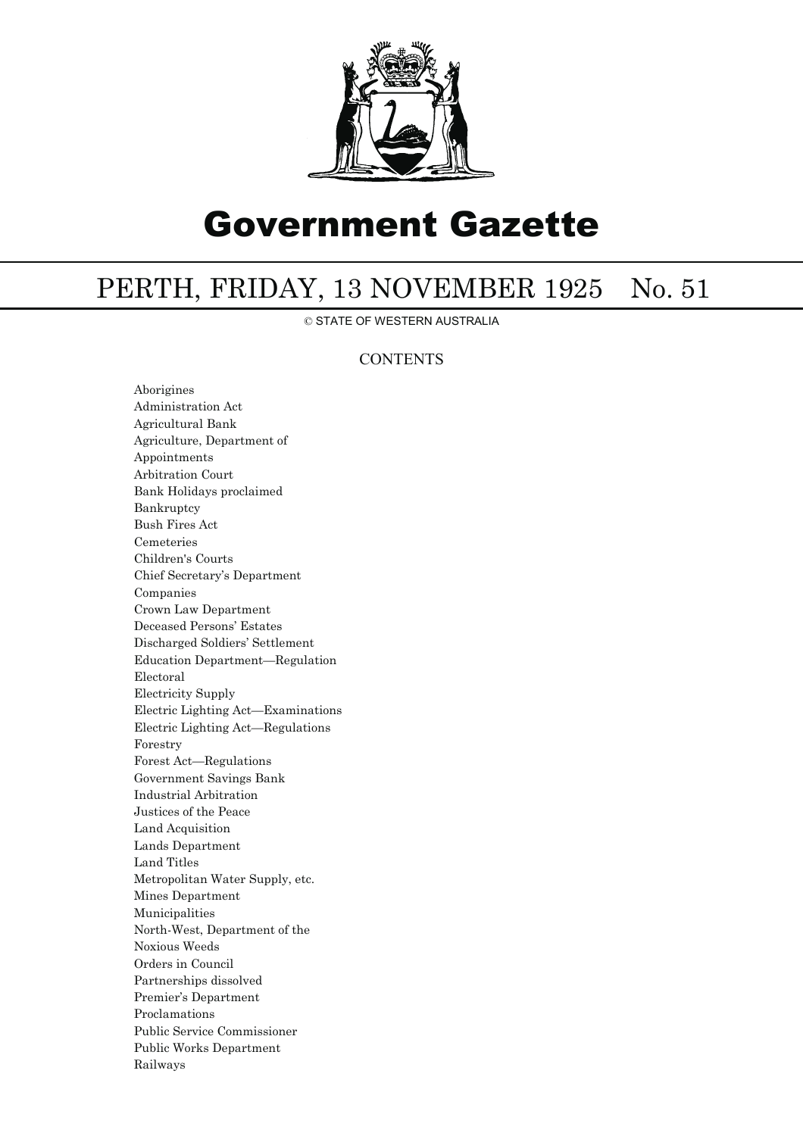

# Government Gazette

# PERTH, FRIDAY, 13 NOVEMBER 1925 No. 51

© STATE OF WESTERN AUSTRALIA

## **CONTENTS**

Aborigines Administration Act Agricultural Bank Agriculture, Department of Appointments Arbitration Court Bank Holidays proclaimed Bankruptcy Bush Fires Act Cemeteries Children's Courts Chief Secretary's Department Companies Crown Law Department Deceased Persons' Estates Discharged Soldiers' Settlement Education Department—Regulation Electoral Electricity Supply Electric Lighting Act—Examinations Electric Lighting Act—Regulations Forestry Forest Act—Regulations Government Savings Bank Industrial Arbitration Justices of the Peace Land Acquisition Lands Department Land Titles Metropolitan Water Supply, etc. Mines Department Municipalities North-West, Department of the Noxious Weeds Orders in Council Partnerships dissolved Premier's Department Proclamations Public Service Commissioner Public Works Department Railways